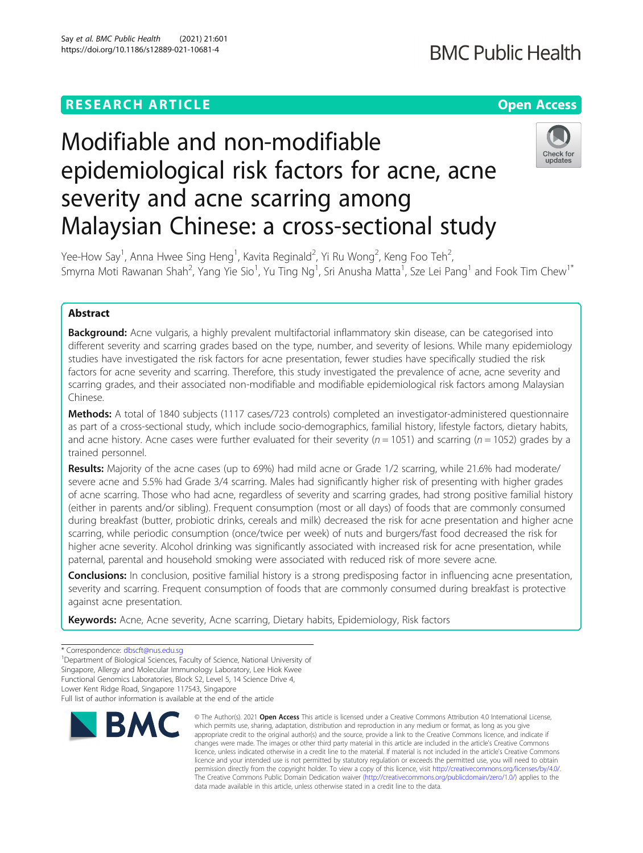## **RESEARCH ARTICLE Example 2014 12:30 The Contract of Contract ACCESS**

# Modifiable and non-modifiable epidemiological risk factors for acne, acne severity and acne scarring among Malaysian Chinese: a cross-sectional study



Yee-How Say<sup>1</sup>, Anna Hwee Sing Heng<sup>1</sup>, Kavita Reginald<sup>2</sup>, Yi Ru Wong<sup>2</sup>, Keng Foo Teh<sup>2</sup> , Smyrna Moti Rawanan Shah<sup>2</sup>, Yang Yie Sio<sup>1</sup>, Yu Ting Ng<sup>1</sup>, Sri Anusha Matta<sup>1</sup>, Sze Lei Pang<sup>1</sup> and Fook Tim Chew<sup>1\*</sup>

### Abstract

**Background:** Acne vulgaris, a highly prevalent multifactorial inflammatory skin disease, can be categorised into different severity and scarring grades based on the type, number, and severity of lesions. While many epidemiology studies have investigated the risk factors for acne presentation, fewer studies have specifically studied the risk factors for acne severity and scarring. Therefore, this study investigated the prevalence of acne, acne severity and scarring grades, and their associated non-modifiable and modifiable epidemiological risk factors among Malaysian Chinese.

Methods: A total of 1840 subjects (1117 cases/723 controls) completed an investigator-administered questionnaire as part of a cross-sectional study, which include socio-demographics, familial history, lifestyle factors, dietary habits, and acne history. Acne cases were further evaluated for their severity ( $n = 1051$ ) and scarring ( $n = 1052$ ) grades by a trained personnel.

Results: Majority of the acne cases (up to 69%) had mild acne or Grade 1/2 scarring, while 21.6% had moderate/ severe acne and 5.5% had Grade 3/4 scarring. Males had significantly higher risk of presenting with higher grades of acne scarring. Those who had acne, regardless of severity and scarring grades, had strong positive familial history (either in parents and/or sibling). Frequent consumption (most or all days) of foods that are commonly consumed during breakfast (butter, probiotic drinks, cereals and milk) decreased the risk for acne presentation and higher acne scarring, while periodic consumption (once/twice per week) of nuts and burgers/fast food decreased the risk for higher acne severity. Alcohol drinking was significantly associated with increased risk for acne presentation, while paternal, parental and household smoking were associated with reduced risk of more severe acne.

Conclusions: In conclusion, positive familial history is a strong predisposing factor in influencing acne presentation, severity and scarring. Frequent consumption of foods that are commonly consumed during breakfast is protective against acne presentation.

Keywords: Acne, Acne severity, Acne scarring, Dietary habits, Epidemiology, Risk factors

<sup>&</sup>lt;sup>1</sup>Department of Biological Sciences, Faculty of Science, National University of Singapore, Allergy and Molecular Immunology Laboratory, Lee Hiok Kwee Functional Genomics Laboratories, Block S2, Level 5, 14 Science Drive 4, Lower Kent Ridge Road, Singapore 117543, Singapore Full list of author information is available at the end of the article



<sup>©</sup> The Author(s), 2021 **Open Access** This article is licensed under a Creative Commons Attribution 4.0 International License, which permits use, sharing, adaptation, distribution and reproduction in any medium or format, as long as you give appropriate credit to the original author(s) and the source, provide a link to the Creative Commons licence, and indicate if changes were made. The images or other third party material in this article are included in the article's Creative Commons licence, unless indicated otherwise in a credit line to the material. If material is not included in the article's Creative Commons licence and your intended use is not permitted by statutory regulation or exceeds the permitted use, you will need to obtain permission directly from the copyright holder. To view a copy of this licence, visit [http://creativecommons.org/licenses/by/4.0/.](http://creativecommons.org/licenses/by/4.0/) The Creative Commons Public Domain Dedication waiver [\(http://creativecommons.org/publicdomain/zero/1.0/](http://creativecommons.org/publicdomain/zero/1.0/)) applies to the data made available in this article, unless otherwise stated in a credit line to the data.

<sup>\*</sup> Correspondence: [dbscft@nus.edu.sg](mailto:dbscft@nus.edu.sg) <sup>1</sup>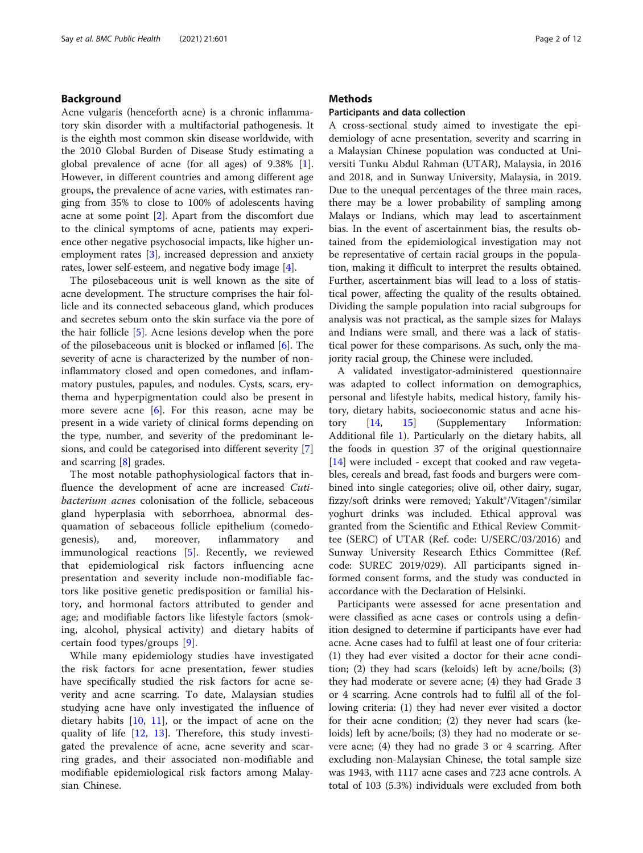#### Background

Acne vulgaris (henceforth acne) is a chronic inflammatory skin disorder with a multifactorial pathogenesis. It is the eighth most common skin disease worldwide, with the 2010 Global Burden of Disease Study estimating a global prevalence of acne (for all ages) of 9.38% [\[1](#page-10-0)]. However, in different countries and among different age groups, the prevalence of acne varies, with estimates ranging from 35% to close to 100% of adolescents having acne at some point [\[2](#page-10-0)]. Apart from the discomfort due to the clinical symptoms of acne, patients may experience other negative psychosocial impacts, like higher unemployment rates [\[3](#page-10-0)], increased depression and anxiety rates, lower self-esteem, and negative body image [[4\]](#page-10-0).

The pilosebaceous unit is well known as the site of acne development. The structure comprises the hair follicle and its connected sebaceous gland, which produces and secretes sebum onto the skin surface via the pore of the hair follicle [\[5](#page-10-0)]. Acne lesions develop when the pore of the pilosebaceous unit is blocked or inflamed [[6\]](#page-10-0). The severity of acne is characterized by the number of noninflammatory closed and open comedones, and inflammatory pustules, papules, and nodules. Cysts, scars, erythema and hyperpigmentation could also be present in more severe acne [[6](#page-10-0)]. For this reason, acne may be present in a wide variety of clinical forms depending on the type, number, and severity of the predominant lesions, and could be categorised into different severity [\[7](#page-10-0)] and scarring [\[8](#page-10-0)] grades.

The most notable pathophysiological factors that influence the development of acne are increased Cutibacterium acnes colonisation of the follicle, sebaceous gland hyperplasia with seborrhoea, abnormal desquamation of sebaceous follicle epithelium (comedogenesis), and, moreover, inflammatory and immunological reactions [[5\]](#page-10-0). Recently, we reviewed that epidemiological risk factors influencing acne presentation and severity include non-modifiable factors like positive genetic predisposition or familial history, and hormonal factors attributed to gender and age; and modifiable factors like lifestyle factors (smoking, alcohol, physical activity) and dietary habits of certain food types/groups [\[9](#page-10-0)].

While many epidemiology studies have investigated the risk factors for acne presentation, fewer studies have specifically studied the risk factors for acne severity and acne scarring. To date, Malaysian studies studying acne have only investigated the influence of dietary habits  $[10, 11]$  $[10, 11]$  $[10, 11]$  $[10, 11]$ , or the impact of acne on the quality of life [[12,](#page-10-0) [13](#page-10-0)]. Therefore, this study investigated the prevalence of acne, acne severity and scarring grades, and their associated non-modifiable and modifiable epidemiological risk factors among Malaysian Chinese.

#### **Methods**

#### Participants and data collection

A cross-sectional study aimed to investigate the epidemiology of acne presentation, severity and scarring in a Malaysian Chinese population was conducted at Universiti Tunku Abdul Rahman (UTAR), Malaysia, in 2016 and 2018, and in Sunway University, Malaysia, in 2019. Due to the unequal percentages of the three main races, there may be a lower probability of sampling among Malays or Indians, which may lead to ascertainment bias. In the event of ascertainment bias, the results obtained from the epidemiological investigation may not be representative of certain racial groups in the population, making it difficult to interpret the results obtained. Further, ascertainment bias will lead to a loss of statistical power, affecting the quality of the results obtained. Dividing the sample population into racial subgroups for analysis was not practical, as the sample sizes for Malays and Indians were small, and there was a lack of statistical power for these comparisons. As such, only the majority racial group, the Chinese were included.

A validated investigator-administered questionnaire was adapted to collect information on demographics, personal and lifestyle habits, medical history, family history, dietary habits, socioeconomic status and acne history [[14](#page-10-0), [15\]](#page-10-0) (Supplementary Information: Additional file [1\)](#page-9-0). Particularly on the dietary habits, all the foods in question 37 of the original questionnaire [[14\]](#page-10-0) were included - except that cooked and raw vegetables, cereals and bread, fast foods and burgers were combined into single categories; olive oil, other dairy, sugar, fizzy/soft drinks were removed; Yakult®/Vitagen®/similar yoghurt drinks was included. Ethical approval was granted from the Scientific and Ethical Review Committee (SERC) of UTAR (Ref. code: U/SERC/03/2016) and Sunway University Research Ethics Committee (Ref. code: SUREC 2019/029). All participants signed informed consent forms, and the study was conducted in accordance with the Declaration of Helsinki.

Participants were assessed for acne presentation and were classified as acne cases or controls using a definition designed to determine if participants have ever had acne. Acne cases had to fulfil at least one of four criteria: (1) they had ever visited a doctor for their acne condition; (2) they had scars (keloids) left by acne/boils; (3) they had moderate or severe acne; (4) they had Grade 3 or 4 scarring. Acne controls had to fulfil all of the following criteria: (1) they had never ever visited a doctor for their acne condition; (2) they never had scars (keloids) left by acne/boils; (3) they had no moderate or severe acne; (4) they had no grade 3 or 4 scarring. After excluding non-Malaysian Chinese, the total sample size was 1943, with 1117 acne cases and 723 acne controls. A total of 103 (5.3%) individuals were excluded from both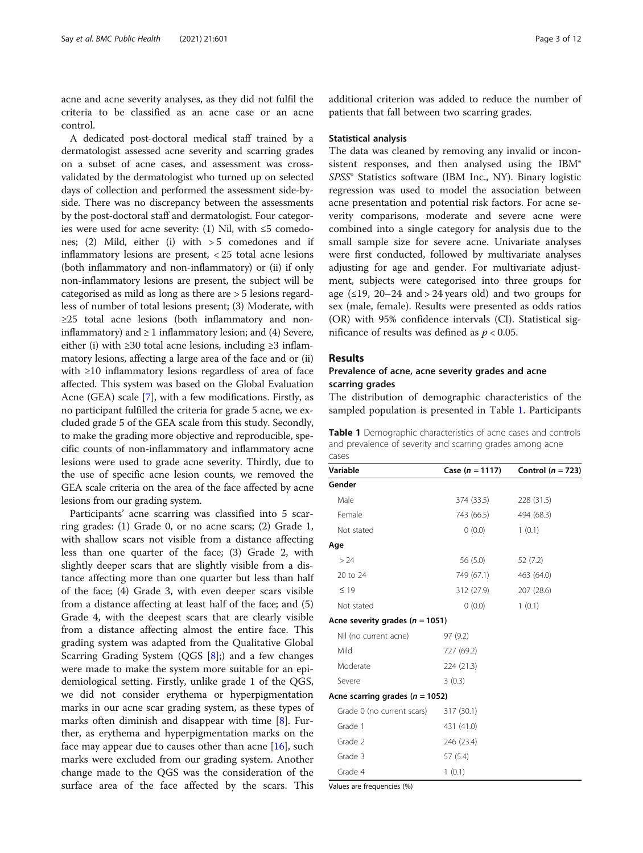<span id="page-2-0"></span>acne and acne severity analyses, as they did not fulfil the criteria to be classified as an acne case or an acne control.

A dedicated post-doctoral medical staff trained by a dermatologist assessed acne severity and scarring grades on a subset of acne cases, and assessment was crossvalidated by the dermatologist who turned up on selected days of collection and performed the assessment side-byside. There was no discrepancy between the assessments by the post-doctoral staff and dermatologist. Four categories were used for acne severity: (1) Nil, with  $\leq 5$  comedones; (2) Mild, either (i) with  $> 5$  comedones and if inflammatory lesions are present, < 25 total acne lesions (both inflammatory and non-inflammatory) or (ii) if only non-inflammatory lesions are present, the subject will be categorised as mild as long as there are > 5 lesions regardless of number of total lesions present; (3) Moderate, with ≥25 total acne lesions (both inflammatory and noninflammatory) and  $\geq 1$  inflammatory lesion; and (4) Severe, either (i) with  $\geq$ 30 total acne lesions, including  $\geq$ 3 inflammatory lesions, affecting a large area of the face and or (ii) with ≥10 inflammatory lesions regardless of area of face affected. This system was based on the Global Evaluation Acne (GEA) scale [[7\]](#page-10-0), with a few modifications. Firstly, as no participant fulfilled the criteria for grade 5 acne, we excluded grade 5 of the GEA scale from this study. Secondly, to make the grading more objective and reproducible, specific counts of non-inflammatory and inflammatory acne lesions were used to grade acne severity. Thirdly, due to the use of specific acne lesion counts, we removed the GEA scale criteria on the area of the face affected by acne lesions from our grading system.

Participants' acne scarring was classified into 5 scarring grades: (1) Grade 0, or no acne scars; (2) Grade 1, with shallow scars not visible from a distance affecting less than one quarter of the face; (3) Grade 2, with slightly deeper scars that are slightly visible from a distance affecting more than one quarter but less than half of the face; (4) Grade 3, with even deeper scars visible from a distance affecting at least half of the face; and (5) Grade 4, with the deepest scars that are clearly visible from a distance affecting almost the entire face. This grading system was adapted from the Qualitative Global Scarring Grading System (QGS  $[8]$  $[8]$ ;) and a few changes were made to make the system more suitable for an epidemiological setting. Firstly, unlike grade 1 of the QGS, we did not consider erythema or hyperpigmentation marks in our acne scar grading system, as these types of marks often diminish and disappear with time [[8\]](#page-10-0). Further, as erythema and hyperpigmentation marks on the face may appear due to causes other than acne [[16\]](#page-10-0), such marks were excluded from our grading system. Another change made to the QGS was the consideration of the surface area of the face affected by the scars. This

additional criterion was added to reduce the number of patients that fall between two scarring grades.

#### Statistical analysis

The data was cleaned by removing any invalid or inconsistent responses, and then analysed using the IBM® SPSS® Statistics software (IBM Inc., NY). Binary logistic regression was used to model the association between acne presentation and potential risk factors. For acne severity comparisons, moderate and severe acne were combined into a single category for analysis due to the small sample size for severe acne. Univariate analyses were first conducted, followed by multivariate analyses adjusting for age and gender. For multivariate adjustment, subjects were categorised into three groups for age  $(\leq 19, 20-24$  and  $> 24$  years old) and two groups for sex (male, female). Results were presented as odds ratios (OR) with 95% confidence intervals (CI). Statistical significance of results was defined as  $p < 0.05$ .

#### Results

#### Prevalence of acne, acne severity grades and acne scarring grades

The distribution of demographic characteristics of the sampled population is presented in Table 1. Participants

| <b>Table 1</b> Demographic characteristics of acne cases and controls |
|-----------------------------------------------------------------------|
| and prevalence of severity and scarring grades among acne             |
| cases                                                                 |

| Variable                            | Case ( $n = 1117$ ) | Control ( $n = 723$ ) |
|-------------------------------------|---------------------|-----------------------|
| Gender                              |                     |                       |
| Male                                | 374 (33.5)          | 228 (31.5)            |
| Female                              | 743 (66.5)          | 494 (68.3)            |
| Not stated                          | (0.0)               | 1(0.1)                |
| Age                                 |                     |                       |
| > 24                                | 56 (5.0)            | 52(7.2)               |
| 20 to 24                            | 749 (67.1)          | 463 (64.0)            |
| $\leq 19$                           | 312 (27.9)          | 207 (28.6)            |
| Not stated                          | (0.0)               | 1(0.1)                |
| Acne severity grades ( $n = 1051$ ) |                     |                       |
| Nil (no current acne)               | 97(9.2)             |                       |
| Mild                                | 727 (69.2)          |                       |
| Moderate                            | 224 (21.3)          |                       |
| Severe                              | 3(0.3)              |                       |
| Acne scarring grades ( $n = 1052$ ) |                     |                       |
| Grade 0 (no current scars)          | 317 (30.1)          |                       |
| Grade 1                             | 431 (41.0)          |                       |
| Grade 2                             | 246 (23.4)          |                       |
| Grade 3                             | 57(5.4)             |                       |
| Grade 4                             | 1(0.1)              |                       |

Values are frequencies (%)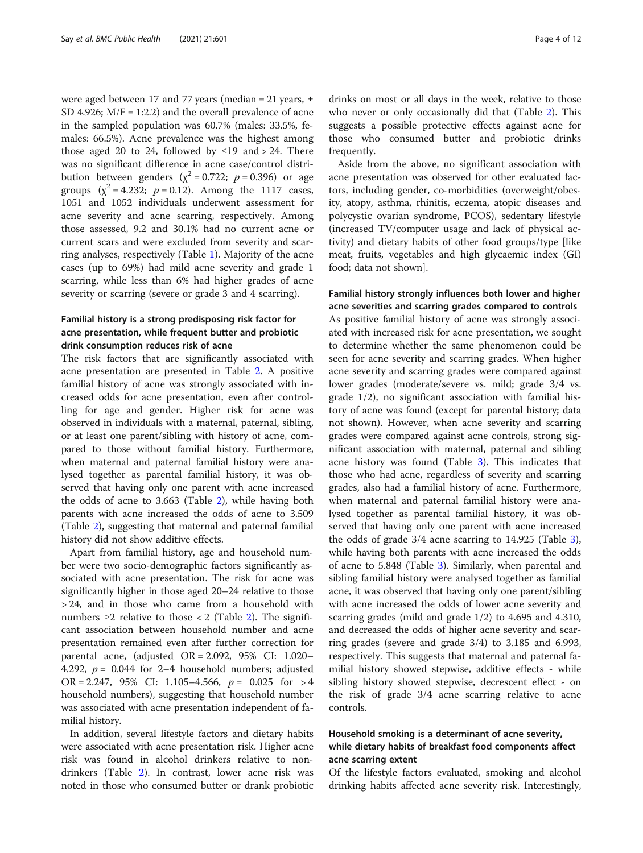were aged between 17 and 77 years (median = 21 years,  $\pm$ SD 4.926;  $M/F = 1:2.2$ ) and the overall prevalence of acne in the sampled population was 60.7% (males: 33.5%, females: 66.5%). Acne prevalence was the highest among those aged 20 to 24, followed by  $\leq$ 19 and > 24. There was no significant difference in acne case/control distribution between genders ( $\chi^2$  = 0.722; *p* = 0.396) or age groups  $(x^2 = 4.232; p = 0.12)$ . Among the 1117 cases, 1051 and 1052 individuals underwent assessment for acne severity and acne scarring, respectively. Among those assessed, 9.2 and 30.1% had no current acne or current scars and were excluded from severity and scarring analyses, respectively (Table [1\)](#page-2-0). Majority of the acne cases (up to 69%) had mild acne severity and grade 1 scarring, while less than 6% had higher grades of acne severity or scarring (severe or grade 3 and 4 scarring).

#### Familial history is a strong predisposing risk factor for acne presentation, while frequent butter and probiotic drink consumption reduces risk of acne

The risk factors that are significantly associated with acne presentation are presented in Table [2](#page-4-0). A positive familial history of acne was strongly associated with increased odds for acne presentation, even after controlling for age and gender. Higher risk for acne was observed in individuals with a maternal, paternal, sibling, or at least one parent/sibling with history of acne, compared to those without familial history. Furthermore, when maternal and paternal familial history were analysed together as parental familial history, it was observed that having only one parent with acne increased the odds of acne to 3.663 (Table [2\)](#page-4-0), while having both parents with acne increased the odds of acne to 3.509 (Table [2](#page-4-0)), suggesting that maternal and paternal familial history did not show additive effects.

Apart from familial history, age and household number were two socio-demographic factors significantly associated with acne presentation. The risk for acne was significantly higher in those aged 20–24 relative to those > 24, and in those who came from a household with numbers ≥[2](#page-4-0) relative to those < 2 (Table 2). The significant association between household number and acne presentation remained even after further correction for parental acne, (adjusted  $OR = 2.092$ , 95% CI: 1.020– 4.292,  $p = 0.044$  for 2–4 household numbers; adjusted OR = 2.247, 95% CI: 1.105–4.566,  $p = 0.025$  for > 4 household numbers), suggesting that household number was associated with acne presentation independent of familial history.

In addition, several lifestyle factors and dietary habits were associated with acne presentation risk. Higher acne risk was found in alcohol drinkers relative to nondrinkers (Table [2\)](#page-4-0). In contrast, lower acne risk was noted in those who consumed butter or drank probiotic

drinks on most or all days in the week, relative to those who never or only occasionally did that (Table [2](#page-4-0)). This suggests a possible protective effects against acne for those who consumed butter and probiotic drinks frequently.

Aside from the above, no significant association with acne presentation was observed for other evaluated factors, including gender, co-morbidities (overweight/obesity, atopy, asthma, rhinitis, eczema, atopic diseases and polycystic ovarian syndrome, PCOS), sedentary lifestyle (increased TV/computer usage and lack of physical activity) and dietary habits of other food groups/type [like meat, fruits, vegetables and high glycaemic index (GI) food; data not shown].

#### Familial history strongly influences both lower and higher acne severities and scarring grades compared to controls

As positive familial history of acne was strongly associated with increased risk for acne presentation, we sought to determine whether the same phenomenon could be seen for acne severity and scarring grades. When higher acne severity and scarring grades were compared against lower grades (moderate/severe vs. mild; grade 3/4 vs. grade 1/2), no significant association with familial history of acne was found (except for parental history; data not shown). However, when acne severity and scarring grades were compared against acne controls, strong significant association with maternal, paternal and sibling acne history was found (Table [3](#page-5-0)). This indicates that those who had acne, regardless of severity and scarring grades, also had a familial history of acne. Furthermore, when maternal and paternal familial history were analysed together as parental familial history, it was observed that having only one parent with acne increased the odds of grade 3/4 acne scarring to 14.925 (Table [3](#page-5-0)), while having both parents with acne increased the odds of acne to 5.848 (Table [3\)](#page-5-0). Similarly, when parental and sibling familial history were analysed together as familial acne, it was observed that having only one parent/sibling with acne increased the odds of lower acne severity and scarring grades (mild and grade 1/2) to 4.695 and 4.310, and decreased the odds of higher acne severity and scarring grades (severe and grade 3/4) to 3.185 and 6.993, respectively. This suggests that maternal and paternal familial history showed stepwise, additive effects - while sibling history showed stepwise, decrescent effect - on the risk of grade 3/4 acne scarring relative to acne controls.

#### Household smoking is a determinant of acne severity, while dietary habits of breakfast food components affect acne scarring extent

Of the lifestyle factors evaluated, smoking and alcohol drinking habits affected acne severity risk. Interestingly,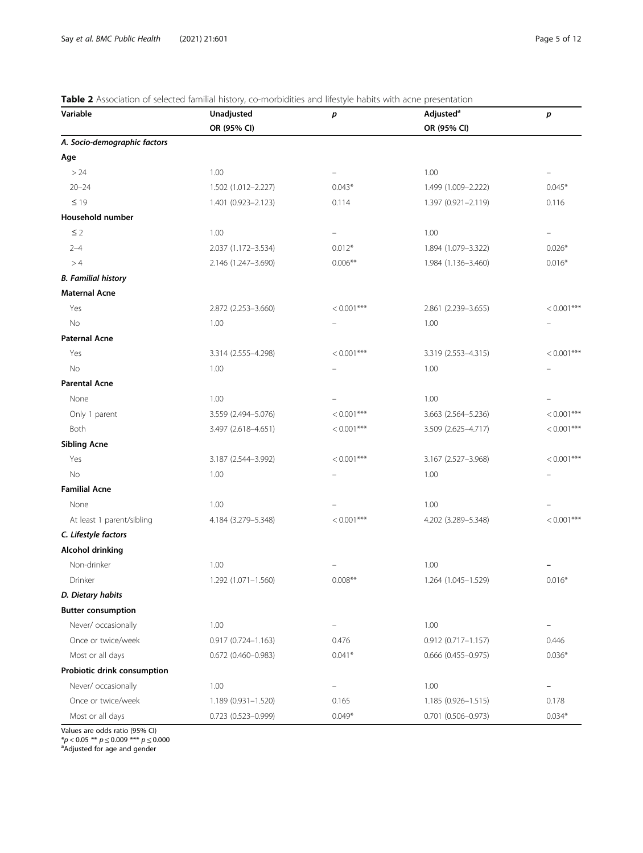#### <span id="page-4-0"></span>Table 2 Association of selected familial history, co-morbidities and lifestyle habits with acne presentation

| Variable                     | Unadjusted                | р                        | Adjusted <sup>a</sup>     | р             |
|------------------------------|---------------------------|--------------------------|---------------------------|---------------|
|                              | OR (95% CI)               |                          | OR (95% CI)               |               |
| A. Socio-demographic factors |                           |                          |                           |               |
| Age                          |                           |                          |                           |               |
| > 24                         | 1.00                      | -                        | 1.00                      |               |
| $20 - 24$                    | 1.502 (1.012-2.227)       | $0.043*$                 | 1.499 (1.009-2.222)       | $0.045*$      |
| $\leq 19$                    | 1.401 (0.923-2.123)       | 0.114                    | 1.397 (0.921-2.119)       | 0.116         |
| Household number             |                           |                          |                           |               |
| $\leq 2$                     | 1.00                      | -                        | 1.00                      | -             |
| $2 - 4$                      | 2.037 (1.172-3.534)       | $0.012*$                 | 1.894 (1.079-3.322)       | $0.026*$      |
| >4                           | 2.146 (1.247-3.690)       | $0.006**$                | 1.984 (1.136-3.460)       | $0.016*$      |
| <b>B. Familial history</b>   |                           |                          |                           |               |
| <b>Maternal Acne</b>         |                           |                          |                           |               |
| Yes                          | 2.872 (2.253-3.660)       | $< 0.001***$             | 2.861 (2.239-3.655)       | $< 0.001***$  |
| No                           | 1.00                      |                          | 1.00                      |               |
| <b>Paternal Acne</b>         |                           |                          |                           |               |
| Yes                          | 3.314 (2.555-4.298)       | $< 0.001***$             | 3.319 (2.553-4.315)       | $< 0.001***$  |
| No                           | 1.00                      | $\overline{\phantom{0}}$ | 1.00                      |               |
| <b>Parental Acne</b>         |                           |                          |                           |               |
| None                         | 1.00                      |                          | 1.00                      |               |
| Only 1 parent                | 3.559 (2.494-5.076)       | $< 0.001***$             | 3.663 (2.564-5.236)       | $< 0.001$ *** |
| Both                         | 3.497 (2.618-4.651)       | $< 0.001***$             | 3.509 (2.625-4.717)       | $< 0.001***$  |
| <b>Sibling Acne</b>          |                           |                          |                           |               |
| Yes                          | 3.187 (2.544-3.992)       | $< 0.001***$             | 3.167 (2.527-3.968)       | $< 0.001***$  |
| No                           | 1.00                      |                          | 1.00                      |               |
| <b>Familial Acne</b>         |                           |                          |                           |               |
| None                         | 1.00                      |                          | 1.00                      |               |
| At least 1 parent/sibling    | 4.184 (3.279-5.348)       | $< 0.001***$             | 4.202 (3.289-5.348)       | $< 0.001$ *** |
| C. Lifestyle factors         |                           |                          |                           |               |
| <b>Alcohol drinking</b>      |                           |                          |                           |               |
| Non-drinker                  | 1.00                      |                          | 1.00                      |               |
| Drinker                      | 1.292 (1.071-1.560)       | $0.008**$                | 1.264 (1.045-1.529)       | $0.016*$      |
| D. Dietary habits            |                           |                          |                           |               |
| <b>Butter consumption</b>    |                           |                          |                           |               |
| Never/ occasionally          | 1.00                      | $\overline{\phantom{0}}$ | 1.00                      |               |
| Once or twice/week           | $0.917(0.724 - 1.163)$    | 0.476                    | $0.912(0.717 - 1.157)$    | 0.446         |
| Most or all days             | $0.672$ (0.460-0.983)     | $0.041*$                 | $0.666$ $(0.455 - 0.975)$ | $0.036*$      |
| Probiotic drink consumption  |                           |                          |                           |               |
| Never/ occasionally          | 1.00                      | $\overline{\phantom{0}}$ | 1.00                      | -             |
| Once or twice/week           | 1.189 (0.931-1.520)       | 0.165                    | 1.185 (0.926-1.515)       | 0.178         |
| Most or all days             | $0.723$ $(0.523 - 0.999)$ | $0.049*$                 | $0.701$ $(0.506 - 0.973)$ | $0.034*$      |

Values are odds ratio (95% CI)

\* $p$  < 0.05 \*\*  $p$   $\leq$  0.009 \*\*\*  $p$   $\leq$  0.000  $^{\rm a}$ Adjusted for age and gender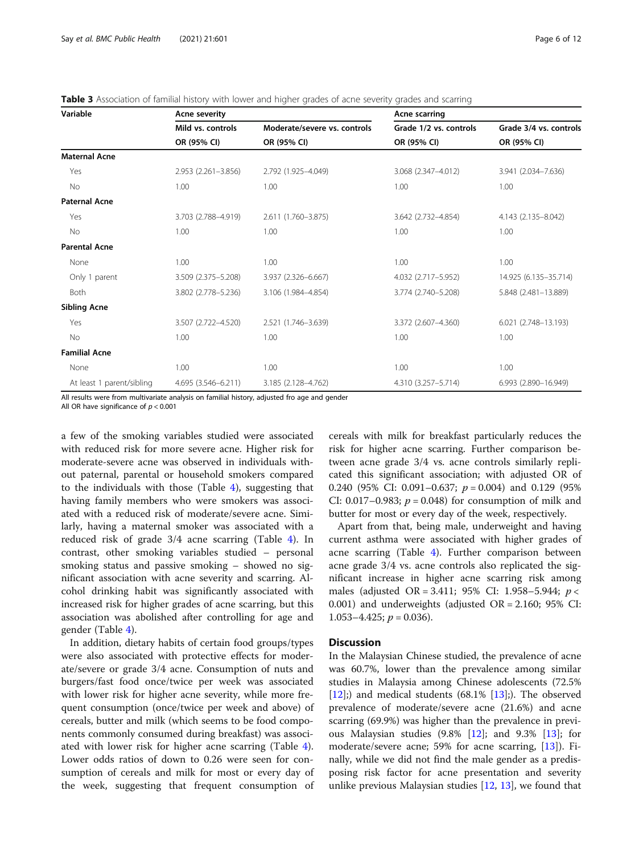| Variable                  | Acne severity       |                              | Acne scarring          |                        |
|---------------------------|---------------------|------------------------------|------------------------|------------------------|
|                           | Mild vs. controls   | Moderate/severe vs. controls | Grade 1/2 vs. controls | Grade 3/4 vs. controls |
|                           | OR (95% CI)         | OR (95% CI)                  | OR (95% CI)            | OR (95% CI)            |
| <b>Maternal Acne</b>      |                     |                              |                        |                        |
| Yes                       | 2.953 (2.261-3.856) | 2.792 (1.925-4.049)          | 3.068 (2.347-4.012)    | 3.941 (2.034-7.636)    |
| <b>No</b>                 | 1.00                | 1.00                         | 1.00                   | 1.00                   |
| <b>Paternal Acne</b>      |                     |                              |                        |                        |
| Yes                       | 3.703 (2.788-4.919) | 2.611 (1.760-3.875)          | 3.642 (2.732-4.854)    | 4.143 (2.135-8.042)    |
| <b>No</b>                 | 1.00                | 1.00                         | 1.00                   | 1.00                   |
| <b>Parental Acne</b>      |                     |                              |                        |                        |
| None                      | 1.00                | 1.00                         | 1.00                   | 1.00                   |
| Only 1 parent             | 3.509 (2.375-5.208) | 3.937 (2.326-6.667)          | 4.032 (2.717-5.952)    | 14.925 (6.135-35.714)  |
| <b>Both</b>               | 3.802 (2.778-5.236) | 3.106 (1.984-4.854)          | 3.774 (2.740-5.208)    | 5.848 (2.481-13.889)   |
| <b>Sibling Acne</b>       |                     |                              |                        |                        |
| Yes                       | 3.507 (2.722-4.520) | 2.521 (1.746-3.639)          | 3.372 (2.607-4.360)    | 6.021 (2.748-13.193)   |
| <b>No</b>                 | 1.00                | 1.00                         | 1.00                   | 1.00                   |
| <b>Familial Acne</b>      |                     |                              |                        |                        |
| None                      | 1.00                | 1.00                         | 1.00                   | 1.00                   |
| At least 1 parent/sibling | 4.695 (3.546-6.211) | 3.185 (2.128-4.762)          | 4.310 (3.257-5.714)    | 6.993 (2.890-16.949)   |

<span id="page-5-0"></span>Table 3 Association of familial history with lower and higher grades of acne severity grades and scarring

All results were from multivariate analysis on familial history, adjusted fro age and gender

All OR have significance of  $p < 0.001$ 

a few of the smoking variables studied were associated with reduced risk for more severe acne. Higher risk for moderate-severe acne was observed in individuals without paternal, parental or household smokers compared to the individuals with those (Table [4](#page-6-0)), suggesting that having family members who were smokers was associated with a reduced risk of moderate/severe acne. Similarly, having a maternal smoker was associated with a reduced risk of grade 3/4 acne scarring (Table [4](#page-6-0)). In contrast, other smoking variables studied – personal smoking status and passive smoking – showed no significant association with acne severity and scarring. Alcohol drinking habit was significantly associated with increased risk for higher grades of acne scarring, but this association was abolished after controlling for age and gender (Table [4](#page-6-0)).

In addition, dietary habits of certain food groups/types were also associated with protective effects for moderate/severe or grade 3/4 acne. Consumption of nuts and burgers/fast food once/twice per week was associated with lower risk for higher acne severity, while more frequent consumption (once/twice per week and above) of cereals, butter and milk (which seems to be food components commonly consumed during breakfast) was associated with lower risk for higher acne scarring (Table [4](#page-6-0)). Lower odds ratios of down to 0.26 were seen for consumption of cereals and milk for most or every day of the week, suggesting that frequent consumption of cereals with milk for breakfast particularly reduces the risk for higher acne scarring. Further comparison between acne grade 3/4 vs. acne controls similarly replicated this significant association; with adjusted OR of 0.240 (95% CI: 0.091–0.637;  $p = 0.004$ ) and 0.129 (95%) CI: 0.017–0.983;  $p = 0.048$ ) for consumption of milk and butter for most or every day of the week, respectively.

Apart from that, being male, underweight and having current asthma were associated with higher grades of acne scarring (Table [4\)](#page-6-0). Further comparison between acne grade 3/4 vs. acne controls also replicated the significant increase in higher acne scarring risk among males (adjusted OR = 3.411; 95% CI: 1.958–5.944;  $p <$ 0.001) and underweights (adjusted OR = 2.160; 95% CI: 1.053–4.425;  $p = 0.036$ ).

#### **Discussion**

In the Malaysian Chinese studied, the prevalence of acne was 60.7%, lower than the prevalence among similar studies in Malaysia among Chinese adolescents (72.5%  $[12]$  $[12]$ ;) and medical students  $(68.1\%$   $[13]$  $[13]$  $[13]$ ;). The observed prevalence of moderate/severe acne (21.6%) and acne scarring (69.9%) was higher than the prevalence in previous Malaysian studies (9.8% [\[12](#page-10-0)]; and 9.3% [[13\]](#page-10-0); for moderate/severe acne; 59% for acne scarring, [[13](#page-10-0)]). Finally, while we did not find the male gender as a predisposing risk factor for acne presentation and severity unlike previous Malaysian studies [[12](#page-10-0), [13](#page-10-0)], we found that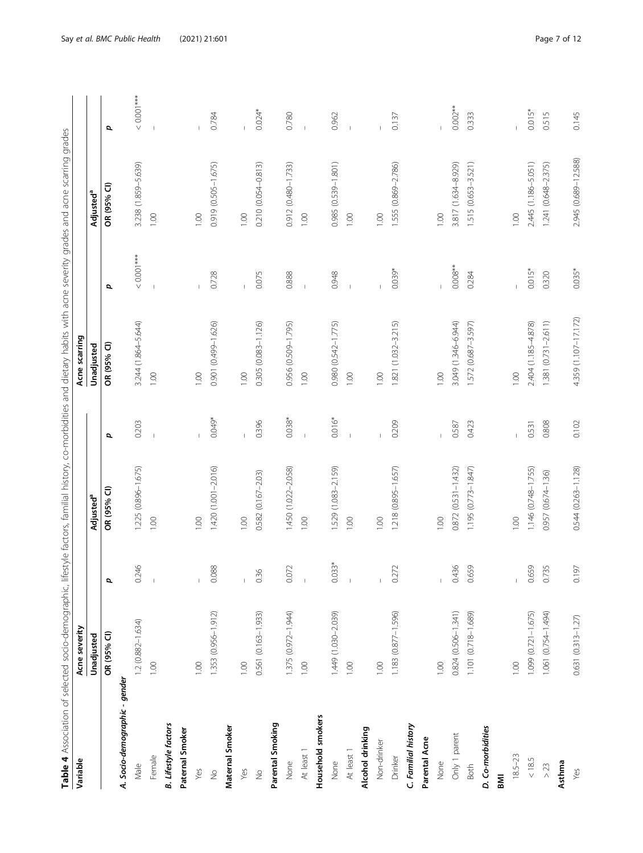| á<br>ì<br>j<br>ī<br>j                                         |  |
|---------------------------------------------------------------|--|
|                                                               |  |
|                                                               |  |
| j<br>ׇ֘֒                                                      |  |
| i<br>$\overline{ }$                                           |  |
| i<br>J                                                        |  |
| ļ                                                             |  |
|                                                               |  |
| i<br>١                                                        |  |
| į<br>l<br>١                                                   |  |
|                                                               |  |
| ֖֖֖֖֖֖֖֖֖֧ׅ֖֧ׅ֖֖֖֖֧֧֪֪֪֪֪֧֪ׅ֧֚֚֚֚֚֚֚֚֚֚֚֚֚֚֚֚֚֚֚֚֚֚֚֚֬֝֬֝֬֝֓֞ |  |
| I<br>i                                                        |  |
|                                                               |  |
| j                                                             |  |
| ١                                                             |  |
|                                                               |  |
| j<br>J                                                        |  |
| j<br>l                                                        |  |
| j<br>ׇ֚֘                                                      |  |
| i<br>֖֖֧ׅׅ֚֚֚֚֚֚֚֚֚֚֚֚֚֚֚֚֚֚֚֚֚֚֚֚֚֡֝֝֝֝֝֝֬֓֡֞<br>ì           |  |
|                                                               |  |
|                                                               |  |
| į<br>J                                                        |  |
|                                                               |  |
| t,                                                            |  |
|                                                               |  |
|                                                               |  |
| ׇ֚֘                                                           |  |
|                                                               |  |
|                                                               |  |
|                                                               |  |
|                                                               |  |
| j                                                             |  |
|                                                               |  |
| ١                                                             |  |
|                                                               |  |
| j                                                             |  |
| j<br>Ï                                                        |  |
| J                                                             |  |
| ١<br>Ī                                                        |  |
|                                                               |  |
|                                                               |  |
| ١                                                             |  |
|                                                               |  |
| Ì<br>I<br>J                                                   |  |
| l<br>J<br>١                                                   |  |
| Ī<br>į                                                        |  |
| J                                                             |  |
| l                                                             |  |
| !                                                             |  |
| ļ                                                             |  |
| l<br>j                                                        |  |
|                                                               |  |
| į<br>I<br>J                                                   |  |
| j<br>i                                                        |  |
| ١                                                             |  |
| $\overline{a}$                                                |  |
|                                                               |  |
| ١                                                             |  |
| $\overline{a}$                                                |  |
|                                                               |  |
| i                                                             |  |
| į                                                             |  |
| ì                                                             |  |
| $\overline{\phantom{a}}$                                      |  |
| i                                                             |  |
| ١<br>ł<br>ī                                                   |  |
|                                                               |  |
| j<br>ļ                                                        |  |
| į<br>١                                                        |  |
| j<br>j<br>į                                                   |  |
| Ξ                                                             |  |
| I                                                             |  |
|                                                               |  |
| ζ,                                                            |  |
|                                                               |  |
| idel<br>i<br>$\mathbf{r}$                                     |  |
| l                                                             |  |
| ţ                                                             |  |
| I                                                             |  |
| ī<br>l                                                        |  |
|                                                               |  |
| j<br>j                                                        |  |
| I<br>l                                                        |  |
| ī                                                             |  |
| I<br>j<br>j                                                   |  |
| į<br>j                                                        |  |
| d                                                             |  |
| l                                                             |  |
|                                                               |  |
|                                                               |  |
|                                                               |  |
| ł                                                             |  |
| d                                                             |  |
| ١                                                             |  |
| l                                                             |  |
|                                                               |  |
|                                                               |  |
|                                                               |  |
|                                                               |  |
|                                                               |  |
|                                                               |  |

<span id="page-6-0"></span>

| Table 4 Association of selected socio-demographic, lifestyle factors, familial history, co-morbidities and dietary habits with acne severity grades and acne scarring grades |                       |                |                        |          |                      |                |                       |            |
|------------------------------------------------------------------------------------------------------------------------------------------------------------------------------|-----------------------|----------------|------------------------|----------|----------------------|----------------|-----------------------|------------|
| Variable                                                                                                                                                                     | Acne severity         |                |                        |          | Acne scarring        |                |                       |            |
|                                                                                                                                                                              | Unadjusted            |                | Adjusted <sup>a</sup>  |          | Unadjusted           |                | Adjusted <sup>a</sup> |            |
|                                                                                                                                                                              | OR (95% CI)           | p              | OR (95% CI)            | đ        | OR (95% CI)          | đ              | OR (95% CI)           | p          |
| A. Socio-demographic - gender                                                                                                                                                |                       |                |                        |          |                      |                |                       |            |
| Male                                                                                                                                                                         | 1.2 (0.882-1.634)     | 0.246          | 1.225 (0.896-1.675)    | 0.203    | 3.244 (1.864-5.644)  | $0.001***$     | 3.238 (1.859-5.639)   | $0.001***$ |
| Female                                                                                                                                                                       | 1.00                  |                | 1.00                   |          | 1.00                 |                | 1.00                  |            |
| <b>B.</b> Lifestyle factors                                                                                                                                                  |                       |                |                        |          |                      |                |                       |            |
| Paternal Smoker                                                                                                                                                              |                       |                |                        |          |                      |                |                       |            |
| Yes                                                                                                                                                                          | 1.00                  |                | 1.00                   |          | 1.00                 |                | 001                   |            |
| $\frac{1}{2}$                                                                                                                                                                | 1.353 (0.956-1.912)   | 0.088          | 1.420 (1.001-2.016)    | $0.049*$ | 0.901 (0.499-1.626)  | 0.728          | 0.919 (0.505-1.675)   | 0.784      |
| Maternal Smoker                                                                                                                                                              |                       |                |                        |          |                      |                |                       |            |
| Yes                                                                                                                                                                          | 1.00                  | $\overline{1}$ | 1.00                   |          | 1.00                 |                | 1.00                  |            |
| $\frac{\circ}{\sim}$                                                                                                                                                         | 0.561 (0.163-1.933)   | 0.36           | 0.582 (0.167-2.03)     | 0.396    | 0.305 (0.083-1.126)  | 0.075          | 0.210 (0.054-0.813)   | $0.024*$   |
| Parental Smoking                                                                                                                                                             |                       |                |                        |          |                      |                |                       |            |
| None                                                                                                                                                                         | 1.375 (0.972-1.944)   | 0.072          | 1.450 (1.022-2.058)    | $0.038*$ | 0.956 (0.509-1.795)  | 0.888          | 0.912 (0.480-1.733)   | 0.780      |
| At least 1                                                                                                                                                                   | 1.00                  | $\overline{1}$ | 1.00                   |          | 1.00                 | $\overline{1}$ | 1.00                  |            |
| Household smokers                                                                                                                                                            |                       |                |                        |          |                      |                |                       |            |
| None                                                                                                                                                                         | 1.449 (1.030-2.039)   | $0.033*$       | 1.529 (1.083-2.159)    | $0.016*$ | 0.980 (0.542-1.775)  | 0.948          | 0.985 (0.539-1.801)   | 0.962      |
| At least 1                                                                                                                                                                   | 1.00                  |                | 1.00                   |          | 1.00                 |                | 1.00                  |            |
| Alcohol drinking                                                                                                                                                             |                       |                |                        |          |                      |                |                       |            |
| Non-drinker                                                                                                                                                                  | 1.00                  |                | 1.00                   |          | 1.00                 |                | 1.00                  |            |
| Drinker                                                                                                                                                                      | 1.183 (0.877-1.596)   | 0.272          | 1.218 (0.895-1.657)    | 0.209    | 1.821 (1.032-3.215)  | 0.039*         | 1.555 (0.869-2.786)   | 0.137      |
| C. Familial history                                                                                                                                                          |                       |                |                        |          |                      |                |                       |            |
| Parental Acne                                                                                                                                                                |                       |                |                        |          |                      |                |                       |            |
| None                                                                                                                                                                         | 1.00                  | $\bar{\rm I}$  | 1.00                   |          | 1.00                 |                | 1.00                  |            |
| Only 1 parent                                                                                                                                                                | 0.824 (0.506-1.341)   | 0.436          | $0.872(0.531 - 1.432)$ | 0.587    | 3.049 (1.346-6.944)  | $0.008***$     | 3.817 (1.634-8.929)   | $0.002**$  |
| <b>Both</b>                                                                                                                                                                  | 1.101 (0.718-1.689)   | 0.659          | 1.195 (0.773-1.847)    | 0.423    | 1.572 (0.687-3.597)  | 0.284          | 1.515 (0.653-3.521)   | 0.333      |
| D. Co-morbidities                                                                                                                                                            |                       |                |                        |          |                      |                |                       |            |
| <b>IMB</b>                                                                                                                                                                   |                       |                |                        |          |                      |                |                       |            |
| $18.5 - 23$                                                                                                                                                                  | 1.00                  | $\vert$        | 00.1                   |          | 1.00                 |                | 0.01                  |            |
| $<18.5$                                                                                                                                                                      | 1.099 (0.721-1.675)   | 0.659          | 1.146 (0.748-1.755)    | 0.531    | 2.404 (1.185-4.878)  | $0.015*$       | 2.445 (1.186-5.051)   | $0.015*$   |
| $>23$                                                                                                                                                                        | 1.061 (0.754-1.494)   | 0.735          | 0.957 (0.674-1.36)     | 0.808    | 1.381 (0.731-2.611)  | 0.320          | 1.241 (0.648-2.375)   | 0.515      |
| Asthma                                                                                                                                                                       |                       |                |                        |          |                      |                |                       |            |
| Yes                                                                                                                                                                          | $0.631(0.313 - 1.27)$ | 0.197          | 0.544 (0.263-1.128)    | 0.102    | 4.359 (1.107-17.172) | $0.035*$       | 2.945 (0.689-12.588)  | 0.145      |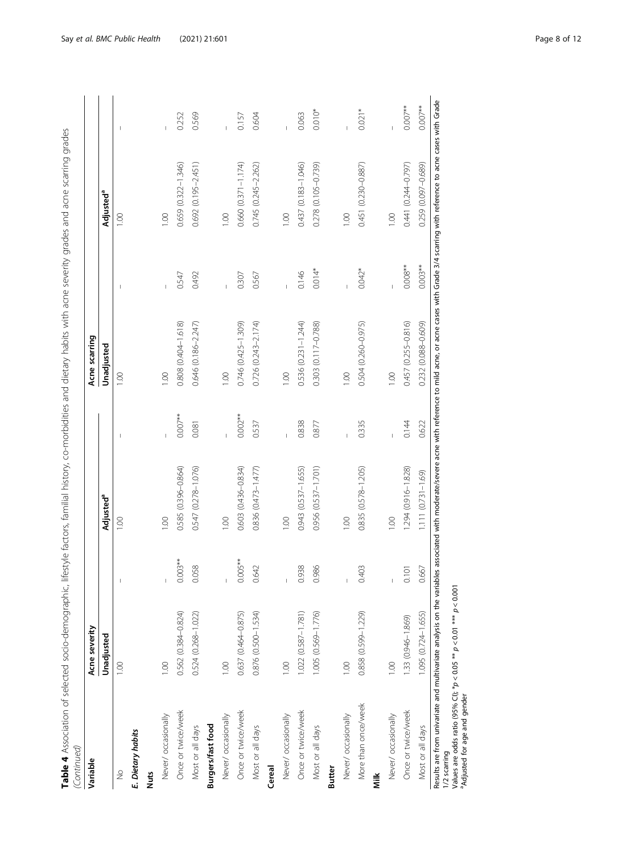| maphic, lifestyle factors, familial history. co-morbidities and dietary habits with acno severity mades and acno continuo or and |   |
|----------------------------------------------------------------------------------------------------------------------------------|---|
| ת<br>J                                                                                                                           |   |
|                                                                                                                                  |   |
|                                                                                                                                  |   |
|                                                                                                                                  |   |
|                                                                                                                                  |   |
|                                                                                                                                  |   |
| ふっこうこう                                                                                                                           |   |
|                                                                                                                                  |   |
|                                                                                                                                  |   |
|                                                                                                                                  |   |
|                                                                                                                                  |   |
|                                                                                                                                  |   |
|                                                                                                                                  |   |
|                                                                                                                                  |   |
|                                                                                                                                  |   |
|                                                                                                                                  |   |
|                                                                                                                                  |   |
|                                                                                                                                  |   |
|                                                                                                                                  |   |
|                                                                                                                                  |   |
|                                                                                                                                  |   |
| ノコー ノニヘット・・・・                                                                                                                    |   |
|                                                                                                                                  |   |
|                                                                                                                                  |   |
| ١                                                                                                                                |   |
| I                                                                                                                                |   |
| I<br>֚֬<br>l<br>l                                                                                                                |   |
| l<br>l<br>i<br>j                                                                                                                 |   |
|                                                                                                                                  |   |
| I                                                                                                                                |   |
| i<br>l                                                                                                                           |   |
|                                                                                                                                  |   |
|                                                                                                                                  |   |
|                                                                                                                                  | I |

| Variable                                                                                                                                                                                                                                                                                                                                                         | Acne severity       |                       |                        |            | Acne scarring             |            |                        |           |
|------------------------------------------------------------------------------------------------------------------------------------------------------------------------------------------------------------------------------------------------------------------------------------------------------------------------------------------------------------------|---------------------|-----------------------|------------------------|------------|---------------------------|------------|------------------------|-----------|
|                                                                                                                                                                                                                                                                                                                                                                  | Unadjusted          |                       | Adjusted <sup>a</sup>  |            | Unadjusted                |            | Adjusted <sup>a</sup>  |           |
| $\frac{1}{2}$                                                                                                                                                                                                                                                                                                                                                    | 1.00                |                       | $\frac{8}{100}$        |            | 00.1                      |            | 001                    |           |
| E. Dietary habits                                                                                                                                                                                                                                                                                                                                                |                     |                       |                        |            |                           |            |                        |           |
| <b>Nuts</b>                                                                                                                                                                                                                                                                                                                                                      |                     |                       |                        |            |                           |            |                        |           |
| Never/ occasionally                                                                                                                                                                                                                                                                                                                                              | 001                 |                       | 0.00                   |            | 0.00                      |            | 001                    |           |
| Once or twice/week                                                                                                                                                                                                                                                                                                                                               | 0.562 (0.384-0.824) | $0.003**$             | $0.585(0.396 - 0.864)$ | $0.007**$  | 0.808 (0.404-1.618)       | 0.547      | 0.659 (0.322-1.346)    | 0.252     |
| Most or all days                                                                                                                                                                                                                                                                                                                                                 | 0.524 (0.268-1.022) | 0.058                 | 0.547 (0.278-1.076)    | 0.081      | 0.646 (0.186-2.247)       | 0.492      | 0.692 (0.195-2.451)    | 0.569     |
| Burgers/fast food                                                                                                                                                                                                                                                                                                                                                |                     |                       |                        |            |                           |            |                        |           |
| Never/ occasionally                                                                                                                                                                                                                                                                                                                                              | 001                 |                       | 00.1                   |            | 1.00                      |            | 100                    |           |
| Once or twice/week                                                                                                                                                                                                                                                                                                                                               | 0.637 (0.464-0.875) | $0.005***$            | 0.603 (0.436-0.834)    | $0.002***$ | 0.746 (0.425-1.309)       | 0.307      | $0.660(0.371 - 1.174)$ | 0.157     |
| Most or all days                                                                                                                                                                                                                                                                                                                                                 | 0.876 (0.500-1.534) | 0.642                 | $0.836(0.473 - 1.477)$ | 0.537      | $0.726$ $(0.243 - 2.174)$ | 0.567      | 0.745 (0.245-2.262)    | 0.604     |
| Cereal                                                                                                                                                                                                                                                                                                                                                           |                     |                       |                        |            |                           |            |                        |           |
| Never/ occasionally                                                                                                                                                                                                                                                                                                                                              | 0.01                |                       | 0.00                   |            | 1.00                      |            | 001                    |           |
| Once or twice/week                                                                                                                                                                                                                                                                                                                                               | 1.022 (0.587-1.781) | $\frac{8}{2}$<br>0.93 | 0.943 (0.537-1.655)    | 0.838      | 0.536 (0.231-1.244)       | 0.146      | 0.437 (0.183-1.046)    | 0.063     |
| Most or all days                                                                                                                                                                                                                                                                                                                                                 | 1.005 (0.569-1.776) | 0.986                 | 0.956 (0.537-1.701)    | 0.877      | 0.303 (0.117-0.788)       | $0.014*$   | 0.278 (0.105-0.739)    | $0.010*$  |
| Butter                                                                                                                                                                                                                                                                                                                                                           |                     |                       |                        |            |                           |            |                        |           |
| Never/ occasionally                                                                                                                                                                                                                                                                                                                                              | 0.0                 | $\mathbb{I}$          | 1.00                   |            | 1.00                      |            | 1.00                   |           |
| More than once/week                                                                                                                                                                                                                                                                                                                                              | 0.858 (0.599-1.229) | 0.403                 | 0.835 (0.578-1.205)    | 0.335      | 0.504 (0.260-0.975)       | $0.042*$   | 0.451 (0.230-0.887)    | $0.021*$  |
| Nilk                                                                                                                                                                                                                                                                                                                                                             |                     |                       |                        |            |                           |            |                        |           |
| Never/ occasionally                                                                                                                                                                                                                                                                                                                                              | 001                 |                       | 00.1                   |            | 1.00                      |            | 1.00                   |           |
| Once or twice/week                                                                                                                                                                                                                                                                                                                                               | 1.33 (0.946-1.869)  | 0.101                 | 1.294 (0.916-1.828)    | 0.144      | $0.457(0.255 - 0.816)$    | $0.008***$ | 0.441 (0.244-0.797)    | $0.007**$ |
| Most or all days                                                                                                                                                                                                                                                                                                                                                 | 1.095 (0.724-1.655) | 0.667                 | 1.111 (0.731-1.69)     | 0.622      | 0.232 (0.088-0.609)       | $0.003***$ | 0.259 (0.097-0.689)    | $0.007**$ |
| Results are from univariate and multivariate analysis on the variables associated with moderate/severe acne with reference to mild acne, or acne cases with Grade 3/4 scarring with reference to acne cases with Grade<br>Values are odds ratio (95% Cl); * $p < 0.05$ ** $p < 0.01$ *** $p < 0.001$<br><sup>a</sup> Adjusted for age and gender<br>1/2 scarring |                     |                       |                        |            |                           |            |                        |           |

Say et al. BMC Public Health (2021) 21:601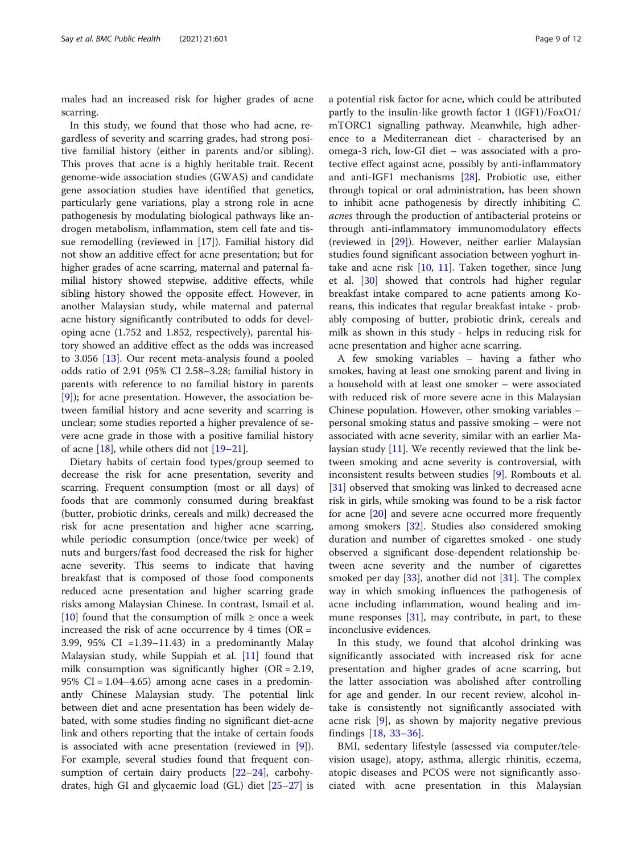males had an increased risk for higher grades of acne scarring.

In this study, we found that those who had acne, regardless of severity and scarring grades, had strong positive familial history (either in parents and/or sibling). This proves that acne is a highly heritable trait. Recent genome-wide association studies (GWAS) and candidate gene association studies have identified that genetics, particularly gene variations, play a strong role in acne pathogenesis by modulating biological pathways like androgen metabolism, inflammation, stem cell fate and tissue remodelling (reviewed in [\[17](#page-10-0)]). Familial history did not show an additive effect for acne presentation; but for higher grades of acne scarring, maternal and paternal familial history showed stepwise, additive effects, while sibling history showed the opposite effect. However, in another Malaysian study, while maternal and paternal acne history significantly contributed to odds for developing acne (1.752 and 1.852, respectively), parental history showed an additive effect as the odds was increased to 3.056 [\[13\]](#page-10-0). Our recent meta-analysis found a pooled odds ratio of 2.91 (95% CI 2.58–3.28; familial history in parents with reference to no familial history in parents [[9\]](#page-10-0)); for acne presentation. However, the association between familial history and acne severity and scarring is unclear; some studies reported a higher prevalence of severe acne grade in those with a positive familial history of acne [\[18](#page-10-0)], while others did not [\[19](#page-10-0)–[21\]](#page-10-0).

Dietary habits of certain food types/group seemed to decrease the risk for acne presentation, severity and scarring. Frequent consumption (most or all days) of foods that are commonly consumed during breakfast (butter, probiotic drinks, cereals and milk) decreased the risk for acne presentation and higher acne scarring, while periodic consumption (once/twice per week) of nuts and burgers/fast food decreased the risk for higher acne severity. This seems to indicate that having breakfast that is composed of those food components reduced acne presentation and higher scarring grade risks among Malaysian Chinese. In contrast, Ismail et al. [[10\]](#page-10-0) found that the consumption of milk  $\geq$  once a week increased the risk of acne occurrence by 4 times ( $OR =$ 3.99, 95% CI =1.39–11.43) in a predominantly Malay Malaysian study, while Suppiah et al. [\[11](#page-10-0)] found that milk consumption was significantly higher (OR = 2.19, 95% CI =  $1.04-4.65$ ) among acne cases in a predominantly Chinese Malaysian study. The potential link between diet and acne presentation has been widely debated, with some studies finding no significant diet-acne link and others reporting that the intake of certain foods is associated with acne presentation (reviewed in [\[9](#page-10-0)]). For example, several studies found that frequent consumption of certain dairy products [\[22](#page-10-0)–[24\]](#page-10-0), carbohydrates, high GI and glycaemic load (GL) diet [[25](#page-10-0)–[27](#page-10-0)] is a potential risk factor for acne, which could be attributed partly to the insulin-like growth factor 1 (IGF1)/FoxO1/ mTORC1 signalling pathway. Meanwhile, high adherence to a Mediterranean diet - characterised by an omega-3 rich, low-GI diet – was associated with a protective effect against acne, possibly by anti-inflammatory and anti-IGF1 mechanisms [[28\]](#page-10-0). Probiotic use, either through topical or oral administration, has been shown to inhibit acne pathogenesis by directly inhibiting C. acnes through the production of antibacterial proteins or through anti-inflammatory immunomodulatory effects (reviewed in [\[29](#page-10-0)]). However, neither earlier Malaysian studies found significant association between yoghurt intake and acne risk  $[10, 11]$  $[10, 11]$  $[10, 11]$  $[10, 11]$ . Taken together, since Jung et al. [\[30](#page-10-0)] showed that controls had higher regular breakfast intake compared to acne patients among Koreans, this indicates that regular breakfast intake - probably composing of butter, probiotic drink, cereals and milk as shown in this study - helps in reducing risk for acne presentation and higher acne scarring.

A few smoking variables – having a father who smokes, having at least one smoking parent and living in a household with at least one smoker – were associated with reduced risk of more severe acne in this Malaysian Chinese population. However, other smoking variables – personal smoking status and passive smoking – were not associated with acne severity, similar with an earlier Malaysian study [\[11\]](#page-10-0). We recently reviewed that the link between smoking and acne severity is controversial, with inconsistent results between studies [\[9](#page-10-0)]. Rombouts et al. [[31\]](#page-10-0) observed that smoking was linked to decreased acne risk in girls, while smoking was found to be a risk factor for acne [[20](#page-10-0)] and severe acne occurred more frequently among smokers [\[32](#page-10-0)]. Studies also considered smoking duration and number of cigarettes smoked - one study observed a significant dose-dependent relationship between acne severity and the number of cigarettes smoked per day [[33](#page-10-0)], another did not [[31\]](#page-10-0). The complex way in which smoking influences the pathogenesis of acne including inflammation, wound healing and immune responses  $[31]$  $[31]$  $[31]$ , may contribute, in part, to these inconclusive evidences.

In this study, we found that alcohol drinking was significantly associated with increased risk for acne presentation and higher grades of acne scarring, but the latter association was abolished after controlling for age and gender. In our recent review, alcohol intake is consistently not significantly associated with acne risk [\[9](#page-10-0)], as shown by majority negative previous findings [\[18](#page-10-0), [33](#page-10-0)–[36](#page-11-0)].

BMI, sedentary lifestyle (assessed via computer/television usage), atopy, asthma, allergic rhinitis, eczema, atopic diseases and PCOS were not significantly associated with acne presentation in this Malaysian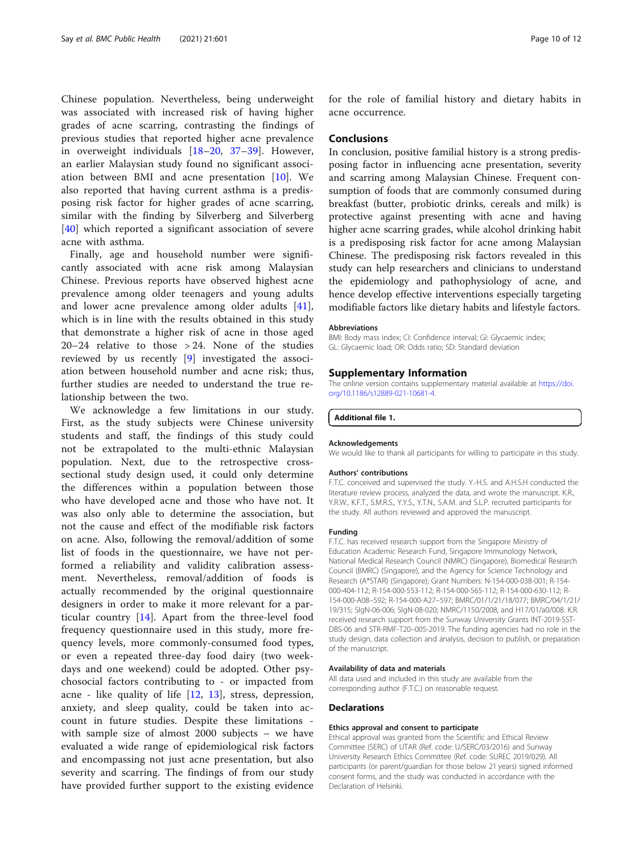<span id="page-9-0"></span>Chinese population. Nevertheless, being underweight was associated with increased risk of having higher grades of acne scarring, contrasting the findings of previous studies that reported higher acne prevalence in overweight individuals [\[18](#page-10-0)–[20](#page-10-0), [37](#page-11-0)–[39](#page-11-0)]. However, an earlier Malaysian study found no significant association between BMI and acne presentation [[10\]](#page-10-0). We also reported that having current asthma is a predisposing risk factor for higher grades of acne scarring, similar with the finding by Silverberg and Silverberg [[40\]](#page-11-0) which reported a significant association of severe acne with asthma.

Finally, age and household number were significantly associated with acne risk among Malaysian Chinese. Previous reports have observed highest acne prevalence among older teenagers and young adults and lower acne prevalence among older adults [\[41](#page-11-0)], which is in line with the results obtained in this study that demonstrate a higher risk of acne in those aged 20–24 relative to those > 24. None of the studies reviewed by us recently [\[9](#page-10-0)] investigated the association between household number and acne risk; thus, further studies are needed to understand the true relationship between the two.

We acknowledge a few limitations in our study. First, as the study subjects were Chinese university students and staff, the findings of this study could not be extrapolated to the multi-ethnic Malaysian population. Next, due to the retrospective crosssectional study design used, it could only determine the differences within a population between those who have developed acne and those who have not. It was also only able to determine the association, but not the cause and effect of the modifiable risk factors on acne. Also, following the removal/addition of some list of foods in the questionnaire, we have not performed a reliability and validity calibration assessment. Nevertheless, removal/addition of foods is actually recommended by the original questionnaire designers in order to make it more relevant for a particular country [\[14](#page-10-0)]. Apart from the three-level food frequency questionnaire used in this study, more frequency levels, more commonly-consumed food types, or even a repeated three-day food dairy (two weekdays and one weekend) could be adopted. Other psychosocial factors contributing to - or impacted from acne - like quality of life [[12](#page-10-0), [13](#page-10-0)], stress, depression, anxiety, and sleep quality, could be taken into account in future studies. Despite these limitations with sample size of almost 2000 subjects – we have evaluated a wide range of epidemiological risk factors and encompassing not just acne presentation, but also severity and scarring. The findings of from our study have provided further support to the existing evidence

for the role of familial history and dietary habits in acne occurrence.

#### Conclusions

In conclusion, positive familial history is a strong predisposing factor in influencing acne presentation, severity and scarring among Malaysian Chinese. Frequent consumption of foods that are commonly consumed during breakfast (butter, probiotic drinks, cereals and milk) is protective against presenting with acne and having higher acne scarring grades, while alcohol drinking habit is a predisposing risk factor for acne among Malaysian Chinese. The predisposing risk factors revealed in this study can help researchers and clinicians to understand the epidemiology and pathophysiology of acne, and hence develop effective interventions especially targeting modifiable factors like dietary habits and lifestyle factors.

#### **Abbreviations**

BMI: Body mass index; CI: Confidence interval; GI: Glycaemic index; GL: Glycaemic load; OR: Odds ratio; SD: Standard deviation

#### Supplementary Information

The online version contains supplementary material available at [https://doi.](https://doi.org/10.1186/s12889-021-10681-4) [org/10.1186/s12889-021-10681-4.](https://doi.org/10.1186/s12889-021-10681-4)

#### Additional file 1.

#### Acknowledgements

We would like to thank all participants for willing to participate in this study.

#### Authors' contributions

F.T.C. conceived and supervised the study. Y.-H.S. and A.H.S.H conducted the literature review process, analyzed the data, and wrote the manuscript. K.R., Y.R.W., K.F.T., S.M.R.S., Y.Y.S., Y.T.N., S.A.M. and S.L.P. recruited participants for the study. All authors reviewed and approved the manuscript.

#### Funding

F.T.C. has received research support from the Singapore Ministry of Education Academic Research Fund, Singapore Immunology Network, National Medical Research Council (NMRC) (Singapore), Biomedical Research Council (BMRC) (Singapore), and the Agency for Science Technology and Research (A\*STAR) (Singapore); Grant Numbers: N-154-000-038-001; R-154- 000-404-112; R-154-000-553-112; R-154-000-565-112; R-154-000-630-112; R-154-000-A08–592; R-154-000-A27–597; BMRC/01/1/21/18/077; BMRC/04/1/21/ 19/315; SIgN-06-006; SIgN-08-020; NMRC/1150/2008, and H17/01/a0/008. K.R. received research support from the Sunway University Grants INT-2019-SST-DBS-06 and STR-RMF-T20–005-2019. The funding agencies had no role in the study design, data collection and analysis, decision to publish, or preparation of the manuscript.

#### Availability of data and materials

All data used and included in this study are available from the corresponding author (F.T.C.) on reasonable request.

#### **Declarations**

#### Ethics approval and consent to participate

Ethical approval was granted from the Scientific and Ethical Review Committee (SERC) of UTAR (Ref. code: U/SERC/03/2016) and Sunway University Research Ethics Committee (Ref. code: SUREC 2019/029). All participants (or parent/guardian for those below 21 years) signed informed consent forms, and the study was conducted in accordance with the Declaration of Helsinki.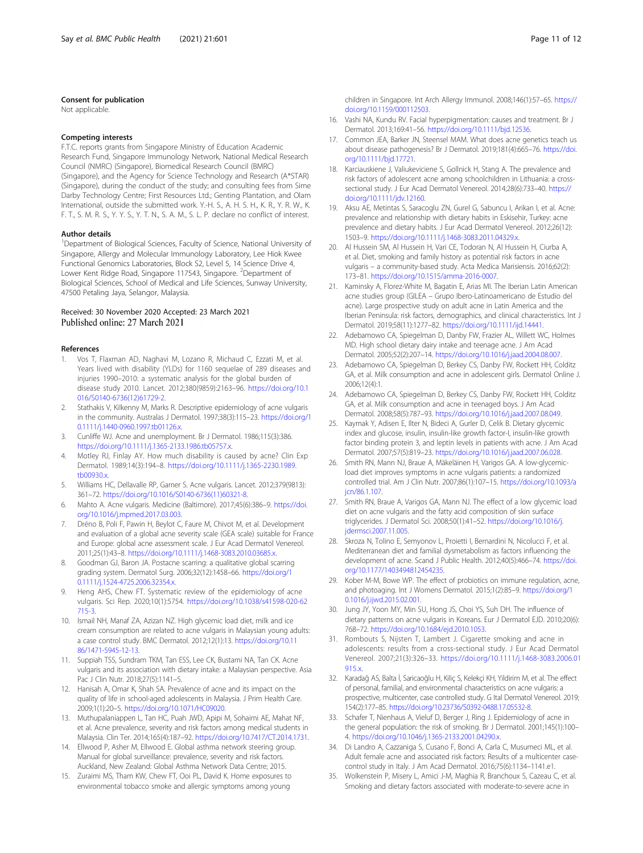#### <span id="page-10-0"></span>Consent for publication

Not applicable.

#### Competing interests

F.T.C. reports grants from Singapore Ministry of Education Academic Research Fund, Singapore Immunology Network, National Medical Research Council (NMRC) (Singapore), Biomedical Research Council (BMRC) (Singapore), and the Agency for Science Technology and Research (A\*STAR) (Singapore), during the conduct of the study; and consulting fees from Sime Darby Technology Centre; First Resources Ltd.; Genting Plantation, and Olam International, outside the submitted work. Y.-H. S., A. H. S. H., K. R., Y. R. W., K. F. T., S. M. R. S., Y. Y. S., Y. T. N., S. A. M., S. L. P. declare no conflict of interest.

#### Author details

<sup>1</sup>Department of Biological Sciences, Faculty of Science, National University of Singapore, Allergy and Molecular Immunology Laboratory, Lee Hiok Kwee Functional Genomics Laboratories, Block S2, Level 5, 14 Science Drive 4, Lower Kent Ridge Road, Singapore 117543, Singapore. <sup>2</sup>Department of Biological Sciences, School of Medical and Life Sciences, Sunway University, 47500 Petaling Jaya, Selangor, Malaysia.

# Received: 30 November 2020 Accepted: 23 March 2021

#### References

- 1. Vos T, Flaxman AD, Naghavi M, Lozano R, Michaud C, Ezzati M, et al. Years lived with disability (YLDs) for 1160 sequelae of 289 diseases and injuries 1990–2010: a systematic analysis for the global burden of disease study 2010. Lancet. 2012;380(9859):2163–96. [https://doi.org/10.1](https://doi.org/10.1016/S0140-6736(12)61729-2) [016/S0140-6736\(12\)61729-2](https://doi.org/10.1016/S0140-6736(12)61729-2).
- 2. Stathakis V, Kilkenny M, Marks R. Descriptive epidemiology of acne vulgaris in the community. Australas J Dermatol. 1997;38(3):115–23. [https://doi.org/1](https://doi.org/10.1111/j.1440-0960.1997.tb01126.x) [0.1111/j.1440-0960.1997.tb01126.x.](https://doi.org/10.1111/j.1440-0960.1997.tb01126.x)
- 3. Cunliffe WJ. Acne and unemployment. Br J Dermatol. 1986;115(3):386. <https://doi.org/10.1111/j.1365-2133.1986.tb05757.x>.
- 4. Motley RJ, Finlay AY. How much disability is caused by acne? Clin Exp Dermatol. 1989;14(3):194–8. [https://doi.org/10.1111/j.1365-2230.1989.](https://doi.org/10.1111/j.1365-2230.1989.tb00930.x) [tb00930.x.](https://doi.org/10.1111/j.1365-2230.1989.tb00930.x)
- 5. Williams HC, Dellavalle RP, Garner S. Acne vulgaris. Lancet. 2012;379(9813): 361–72. [https://doi.org/10.1016/S0140-6736\(11\)60321-8.](https://doi.org/10.1016/S0140-6736(11)60321-8)
- 6. Mahto A. Acne vulgaris. Medicine (Baltimore). 2017;45(6):386–9. [https://doi.](https://doi.org/10.1016/j.mpmed.2017.03.003) [org/10.1016/j.mpmed.2017.03.003.](https://doi.org/10.1016/j.mpmed.2017.03.003)
- 7. Dréno B, Poli F, Pawin H, Beylot C, Faure M, Chivot M, et al. Development and evaluation of a global acne severity scale (GEA scale) suitable for France and Europe: global acne assessment scale. J Eur Acad Dermatol Venereol. 2011;25(1):43–8. <https://doi.org/10.1111/j.1468-3083.2010.03685.x>.
- 8. Goodman GJ, Baron JA. Postacne scarring: a qualitative global scarring grading system. Dermatol Surg. 2006;32(12):1458–66. [https://doi.org/1](https://doi.org/10.1111/j.1524-4725.2006.32354.x) [0.1111/j.1524-4725.2006.32354.x.](https://doi.org/10.1111/j.1524-4725.2006.32354.x)
- 9. Heng AHS, Chew FT. Systematic review of the epidemiology of acne vulgaris. Sci Rep. 2020;10(1):5754. [https://doi.org/10.1038/s41598-020-62](https://doi.org/10.1038/s41598-020-62715-3) [715-3.](https://doi.org/10.1038/s41598-020-62715-3)
- 10. Ismail NH, Manaf ZA, Azizan NZ. High glycemic load diet, milk and ice cream consumption are related to acne vulgaris in Malaysian young adults: a case control study. BMC Dermatol. 2012;12(1):13. [https://doi.org/10.11](https://doi.org/10.1186/1471-5945-12-13) [86/1471-5945-12-13](https://doi.org/10.1186/1471-5945-12-13).
- 11. Suppiah TSS, Sundram TKM, Tan ESS, Lee CK, Bustami NA, Tan CK. Acne vulgaris and its association with dietary intake: a Malaysian perspective. Asia Pac J Clin Nutr. 2018;27(5):1141–5.
- 12. Hanisah A, Omar K, Shah SA. Prevalence of acne and its impact on the quality of life in school-aged adolescents in Malaysia. J Prim Health Care. 2009;1(1):20–5. <https://doi.org/10.1071/HC09020>.
- 13. Muthupalaniappen L, Tan HC, Puah JWD, Apipi M, Sohaimi AE, Mahat NF, et al. Acne prevalence, severity and risk factors among medical students in Malaysia. Clin Ter. 2014;165(4):187–92. <https://doi.org/10.7417/CT.2014.1731>.
- 14. Ellwood P, Asher M, Ellwood E. Global asthma network steering group. Manual for global surveillance: prevalence, severity and risk factors. Auckland, New Zealand: Global Asthma Network Data Centre; 2015.
- 15. Zuraimi MS, Tham KW, Chew FT, Ooi PL, David K. Home exposures to environmental tobacco smoke and allergic symptoms among young

children in Singapore. Int Arch Allergy Immunol. 2008;146(1):57–65. [https://](https://doi.org/10.1159/000112503) [doi.org/10.1159/000112503](https://doi.org/10.1159/000112503).

- 16. Vashi NA, Kundu RV. Facial hyperpigmentation: causes and treatment. Br J Dermatol. 2013;169:41–56. <https://doi.org/10.1111/bjd.12536>.
- 17. Common JEA, Barker JN, Steensel MAM. What does acne genetics teach us about disease pathogenesis? Br J Dermatol. 2019;181(4):665–76. [https://doi.](https://doi.org/10.1111/bjd.17721) [org/10.1111/bjd.17721](https://doi.org/10.1111/bjd.17721).
- 18. Karciauskiene J, Valiukeviciene S, Gollnick H, Stang A. The prevalence and risk factors of adolescent acne among schoolchildren in Lithuania: a crosssectional study. J Eur Acad Dermatol Venereol. 2014;28(6):733–40. [https://](https://doi.org/10.1111/jdv.12160) [doi.org/10.1111/jdv.12160](https://doi.org/10.1111/jdv.12160).
- 19. Aksu AE, Metintas S, Saracoglu ZN, Gurel G, Sabuncu I, Arikan I, et al. Acne: prevalence and relationship with dietary habits in Eskisehir, Turkey: acne prevalence and dietary habits. J Eur Acad Dermatol Venereol. 2012;26(12): 1503–9. <https://doi.org/10.1111/j.1468-3083.2011.04329.x>.
- 20. Al Hussein SM, Al Hussein H, Vari CE, Todoran N, Al Hussein H, Ciurba A, et al. Diet, smoking and family history as potential risk factors in acne vulgaris – a community-based study. Acta Medica Marisiensis. 2016;62(2): 173–81. <https://doi.org/10.1515/amma-2016-0007>.
- 21. Kaminsky A, Florez-White M, Bagatin E, Arias MI. The Iberian Latin American acne studies group (GILEA – Grupo Ibero-Latinoamericano de Estudio del acne). Large prospective study on adult acne in Latin America and the Iberian Peninsula: risk factors, demographics, and clinical characteristics. Int J Dermatol. 2019;58(11):1277–82. [https://doi.org/10.1111/ijd.14441.](https://doi.org/10.1111/ijd.14441)
- 22. Adebamowo CA, Spiegelman D, Danby FW, Frazier AL, Willett WC, Holmes MD. High school dietary dairy intake and teenage acne. J Am Acad Dermatol. 2005;52(2):207–14. <https://doi.org/10.1016/j.jaad.2004.08.007>.
- 23. Adebamowo CA, Spiegelman D, Berkey CS, Danby FW, Rockett HH, Colditz GA, et al. Milk consumption and acne in adolescent girls. Dermatol Online J. 2006;12(4):1.
- 24. Adebamowo CA, Spiegelman D, Berkey CS, Danby FW, Rockett HH, Colditz GA, et al. Milk consumption and acne in teenaged boys. J Am Acad Dermatol. 2008;58(5):787–93. <https://doi.org/10.1016/j.jaad.2007.08.049>.
- 25. Kaymak Y, Adisen E, Ilter N, Bideci A, Gurler D, Celik B. Dietary glycemic index and glucose, insulin, insulin-like growth factor-I, insulin-like growth factor binding protein 3, and leptin levels in patients with acne. J Am Acad Dermatol. 2007;57(5):819–23. <https://doi.org/10.1016/j.jaad.2007.06.028>.
- 26. Smith RN, Mann NJ, Braue A, Mäkeläinen H, Varigos GA. A low-glycemicload diet improves symptoms in acne vulgaris patients: a randomized controlled trial. Am J Clin Nutr. 2007;86(1):107–15. [https://doi.org/10.1093/a](https://doi.org/10.1093/ajcn/86.1.107) [jcn/86.1.107](https://doi.org/10.1093/ajcn/86.1.107).
- 27. Smith RN, Braue A, Varigos GA, Mann NJ. The effect of a low glycemic load diet on acne vulgaris and the fatty acid composition of skin surface triglycerides. J Dermatol Sci. 2008;50(1):41–52. [https://doi.org/10.1016/j.](https://doi.org/10.1016/j.jdermsci.2007.11.005) [jdermsci.2007.11.005.](https://doi.org/10.1016/j.jdermsci.2007.11.005)
- 28. Skroza N, Tolino E, Semyonov L, Proietti I, Bernardini N, Nicolucci F, et al. Mediterranean diet and familial dysmetabolism as factors influencing the development of acne. Scand J Public Health. 2012;40(5):466–74. [https://doi.](https://doi.org/10.1177/1403494812454235) [org/10.1177/1403494812454235.](https://doi.org/10.1177/1403494812454235)
- 29. Kober M-M, Bowe WP. The effect of probiotics on immune regulation, acne, and photoaging. Int J Womens Dermatol. 2015;1(2):85–9. [https://doi.org/1](https://doi.org/10.1016/j.ijwd.2015.02.001) [0.1016/j.ijwd.2015.02.001](https://doi.org/10.1016/j.ijwd.2015.02.001).
- 30. Jung JY, Yoon MY, Min SU, Hong JS, Choi YS, Suh DH. The influence of dietary patterns on acne vulgaris in Koreans. Eur J Dermatol EJD. 2010;20(6): 768–72. <https://doi.org/10.1684/ejd.2010.1053>.
- 31. Rombouts S, Nijsten T, Lambert J. Cigarette smoking and acne in adolescents: results from a cross-sectional study. J Eur Acad Dermatol Venereol. 2007;21(3):326–33. [https://doi.org/10.1111/j.1468-3083.2006.01](https://doi.org/10.1111/j.1468-3083.2006.01915.x) 915**x**
- 32. Karadağ AS, Balta İ, Saricaoğlu H, Kiliç S, Kelekçi KH, Yildirim M, et al. The effect of personal, familial, and environmental characteristics on acne vulgaris: a prospective, multicenter, case controlled study. G Ital Dermatol Venereol. 2019; 154(2):177–85. [https://doi.org/10.23736/S0392-0488.17.05532-8.](https://doi.org/10.23736/S0392-0488.17.05532-8)
- 33. Schafer T, Nienhaus A, Vieluf D, Berger J, Ring J. Epidemiology of acne in the general population: the risk of smoking. Br J Dermatol. 2001;145(1):100– 4. <https://doi.org/10.1046/j.1365-2133.2001.04290.x>.
- 34. Di Landro A, Cazzaniga S, Cusano F, Bonci A, Carla C, Musumeci ML, et al. Adult female acne and associated risk factors: Results of a multicenter casecontrol study in Italy. J Am Acad Dermatol. 2016;75(6):1134–1141.e1.
- 35. Wolkenstein P, Misery L, Amici J-M, Maghia R, Branchoux S, Cazeau C, et al. Smoking and dietary factors associated with moderate-to-severe acne in